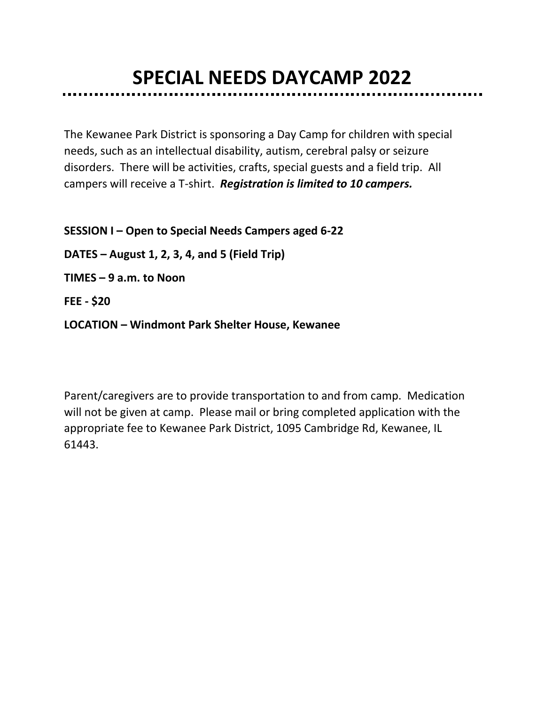# **SPECIAL NEEDS DAYCAMP 2022**

The Kewanee Park District is sponsoring a Day Camp for children with special needs, such as an intellectual disability, autism, cerebral palsy or seizure disorders. There will be activities, crafts, special guests and a field trip. All campers will receive a T-shirt. *Registration is limited to 10 campers.* 

**SESSION I – Open to Special Needs Campers aged 6-22 DATES – August 1, 2, 3, 4, and 5 (Field Trip) TIMES – 9 a.m. to Noon FEE - \$20** 

**LOCATION – Windmont Park Shelter House, Kewanee**

Parent/caregivers are to provide transportation to and from camp. Medication will not be given at camp. Please mail or bring completed application with the appropriate fee to Kewanee Park District, 1095 Cambridge Rd, Kewanee, IL 61443.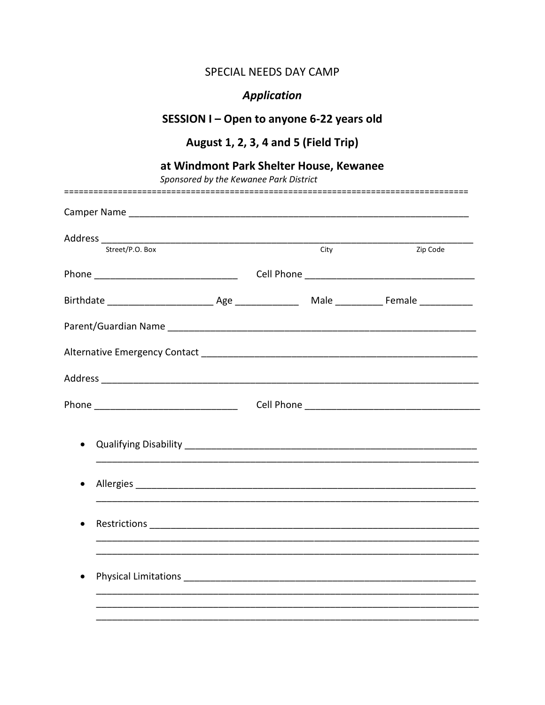#### SPECIAL NEEDS DAY CAMP

## **Application**

## SESSION I - Open to anyone 6-22 years old

## August 1, 2, 3, 4 and 5 (Field Trip)

#### at Windmont Park Shelter House, Kewanee

------

Sponsored by the Kewanee Park District

| Street/P.O. Box |  | City | Zip Code |
|-----------------|--|------|----------|
|                 |  |      |          |
|                 |  |      |          |
|                 |  |      |          |
|                 |  |      |          |
|                 |  |      |          |
|                 |  |      |          |
|                 |  |      |          |
|                 |  |      |          |
|                 |  |      |          |
|                 |  |      |          |
|                 |  |      |          |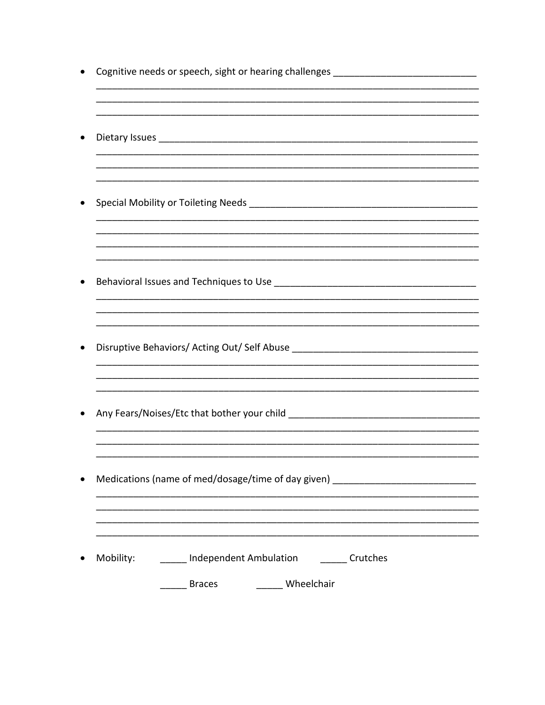| Cognitive needs or speech, sight or hearing challenges _________________________ |
|----------------------------------------------------------------------------------|
|                                                                                  |
|                                                                                  |
|                                                                                  |
| Disruptive Behaviors/ Acting Out/ Self Abuse ___________________________________ |
|                                                                                  |
| Medications (name of med/dosage/time of day given) _____________________________ |
| Independent Ambulation <b>Crutches</b><br>Mobility:<br>____ Wheelchair           |